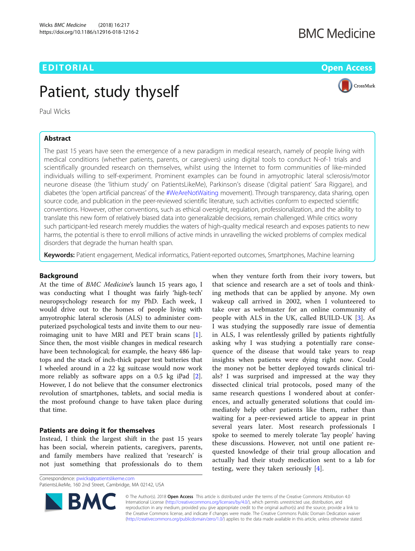## EDITORIAL AND Open Access to the contract of the contract of the contract of the contract of the contract of the contract of the contract of the contract of the contract of the contract of the contract of the contract of t

## **BMC Medicine**



# Patient, study thyself

Paul Wicks

## Abstract

The past 15 years have seen the emergence of a new paradigm in medical research, namely of people living with medical conditions (whether patients, parents, or caregivers) using digital tools to conduct N-of-1 trials and scientifically grounded research on themselves, whilst using the Internet to form communities of like-minded individuals willing to self-experiment. Prominent examples can be found in amyotrophic lateral sclerosis/motor neurone disease (the 'lithium study' on PatientsLikeMe), Parkinson's disease ('digital patient' Sara Riggare), and diabetes (the 'open artificial pancreas' of the [#WeAreNotWaiting](https://twitter.com/hashtag/wearenotwaiting) movement). Through transparency, data sharing, open source code, and publication in the peer-reviewed scientific literature, such activities conform to expected scientific conventions. However, other conventions, such as ethical oversight, regulation, professionalization, and the ability to translate this new form of relatively biased data into generalizable decisions, remain challenged. While critics worry such participant-led research merely muddies the waters of high-quality medical research and exposes patients to new harms, the potential is there to enroll millions of active minds in unravelling the wicked problems of complex medical disorders that degrade the human health span.

Keywords: Patient engagement, Medical informatics, Patient-reported outcomes, Smartphones, Machine learning

## Background

At the time of BMC Medicine's launch 15 years ago, I was conducting what I thought was fairly 'high-tech' neuropsychology research for my PhD. Each week, I would drive out to the homes of people living with amyotrophic lateral sclerosis (ALS) to administer computerized psychological tests and invite them to our neuroimaging unit to have MRI and PET brain scans [\[1](#page-2-0)]. Since then, the most visible changes in medical research have been technological; for example, the heavy 486 laptops and the stack of inch-thick paper test batteries that I wheeled around in a 22 kg suitcase would now work more reliably as software apps on a 0.5 kg iPad [\[2](#page-2-0)]. However, I do not believe that the consumer electronics revolution of smartphones, tablets, and social media is the most profound change to have taken place during that time.

## Patients are doing it for themselves

Instead, I think the largest shift in the past 15 years has been social, wherein patients, caregivers, parents, and family members have realized that 'research' is not just something that professionals do to them

take over as webmaster for an online community of people with ALS in the UK, called BUILD-UK [[3](#page-2-0)]. As I was studying the supposedly rare issue of dementia in ALS, I was relentlessly grilled by patients rightfully asking why I was studying a potentially rare consequence of the disease that would take years to reap insights when patients were dying right now. Could the money not be better deployed towards clinical trials? I was surprised and impressed at the way they dissected clinical trial protocols, posed many of the same research questions I wondered about at conferences, and actually generated solutions that could immediately help other patients like them, rather than waiting for a peer-reviewed article to appear in print several years later. Most research professionals I spoke to seemed to merely tolerate 'lay people' having these discussions. However, not until one patient requested knowledge of their trial group allocation and actually had their study medication sent to a lab for testing, were they taken seriously [\[4](#page-2-0)].

when they venture forth from their ivory towers, but that science and research are a set of tools and thinking methods that can be applied by anyone. My own wakeup call arrived in 2002, when I volunteered to

Correspondence: [pwicks@patientslikeme.com](mailto:pwicks@patientslikeme.com)

PatientsLikeMe, 160 2nd Street, Cambridge, MA 02142, USA



© The Author(s). 2018 Open Access This article is distributed under the terms of the Creative Commons Attribution 4.0 International License [\(http://creativecommons.org/licenses/by/4.0/](http://creativecommons.org/licenses/by/4.0/)), which permits unrestricted use, distribution, and reproduction in any medium, provided you give appropriate credit to the original author(s) and the source, provide a link to the Creative Commons license, and indicate if changes were made. The Creative Commons Public Domain Dedication waiver [\(http://creativecommons.org/publicdomain/zero/1.0/](http://creativecommons.org/publicdomain/zero/1.0/)) applies to the data made available in this article, unless otherwise stated.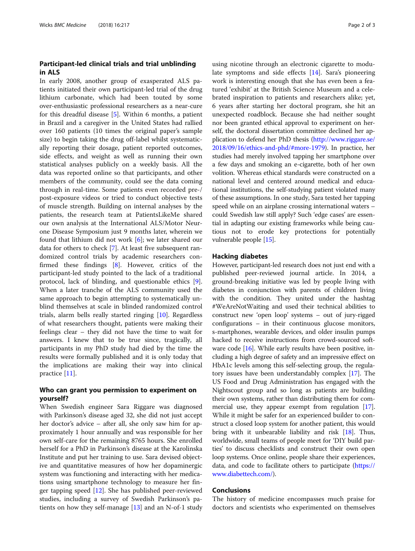## Participant-led clinical trials and trial unblinding in ALS

In early 2008, another group of exasperated ALS patients initiated their own participant-led trial of the drug lithium carbonate, which had been touted by some over-enthusiastic professional researchers as a near-cure for this dreadful disease [[5\]](#page-2-0). Within 6 months, a patient in Brazil and a caregiver in the United States had rallied over 160 patients (10 times the original paper's sample size) to begin taking the drug off-label whilst systematically reporting their dosage, patient reported outcomes, side effects, and weight as well as running their own statistical analyses publicly on a weekly basis. All the data was reported online so that participants, and other members of the community, could see the data coming through in real-time. Some patients even recorded pre-/ post-exposure videos or tried to conduct objective tests of muscle strength. Building on internal analyses by the patients, the research team at PatientsLikeMe shared our own analysis at the International ALS/Motor Neurone Disease Symposium just 9 months later, wherein we found that lithium did not work [[6\]](#page-2-0); we later shared our data for others to check [\[7](#page-2-0)]. At least five subsequent randomized control trials by academic researchers confirmed these findings [[8](#page-2-0)]. However, critics of the participant-led study pointed to the lack of a traditional protocol, lack of blinding, and questionable ethics [\[9](#page-2-0)]. When a later tranche of the ALS community used the same approach to begin attempting to systematically unblind themselves at scale in blinded randomized control trials, alarm bells really started ringing [\[10](#page-2-0)]. Regardless of what researchers thought, patients were making their feelings clear – they did not have the time to wait for answers. I knew that to be true since, tragically, all participants in my PhD study had died by the time the results were formally published and it is only today that the implications are making their way into clinical practice [[11\]](#page-2-0).

## Who can grant you permission to experiment on yourself?

When Swedish engineer Sara Riggare was diagnosed with Parkinson's disease aged 32, she did not just accept her doctor's advice – after all, she only saw him for approximately 1 hour annually and was responsible for her own self-care for the remaining 8765 hours. She enrolled herself for a PhD in Parkinson's disease at the Karolinska Institute and put her training to use. Sara devised objective and quantitative measures of how her dopaminergic system was functioning and interacting with her medications using smartphone technology to measure her finger tapping speed [[12](#page-2-0)]. She has published peer-reviewed studies, including a survey of Swedish Parkinson's patients on how they self-manage  $[13]$  $[13]$  and an N-of-1 study

using nicotine through an electronic cigarette to modulate symptoms and side effects [\[14](#page-2-0)]. Sara's pioneering work is interesting enough that she has even been a featured 'exhibit' at the British Science Museum and a celebrated inspiration to patients and researchers alike; yet, 6 years after starting her doctoral program, she hit an unexpected roadblock. Because she had neither sought nor been granted ethical approval to experiment on herself, the doctoral dissertation committee declined her application to defend her PhD thesis ([http://www.riggare.se/](http://www.riggare.se/2018/09/16/ethics-and-phd/#more-1979) [2018/09/16/ethics-and-phd/#more-1979](http://www.riggare.se/2018/09/16/ethics-and-phd/#more-1979)). In practice, her studies had merely involved tapping her smartphone over a few days and smoking an e-cigarette, both of her own volition. Whereas ethical standards were constructed on a national level and centered around medical and educational institutions, the self-studying patient violated many of these assumptions. In one study, Sara tested her tapping speed while on an airplane crossing international waters – could Swedish law still apply? Such 'edge cases' are essential in adapting our existing frameworks while being cautious not to erode key protections for potentially vulnerable people [[15\]](#page-2-0).

#### Hacking diabetes

However, participant-led research does not just end with a published peer-reviewed journal article. In 2014, a ground-breaking initiative was led by people living with diabetes in conjunction with parents of children living with the condition. They united under the hashtag #WeAreNotWaiting and used their technical abilities to construct new 'open loop' systems – out of jury-rigged configurations – in their continuous glucose monitors, s-martphones, wearable devices, and older insulin pumps hacked to receive instructions from crowd-sourced soft-ware code [[16](#page-2-0)]. While early results have been positive, including a high degree of safety and an impressive effect on HbA1c levels among this self-selecting group, the regulatory issues have been understandably complex [[17](#page-2-0)]. The US Food and Drug Administration has engaged with the Nightscout group and so long as patients are building their own systems, rather than distributing them for commercial use, they appear exempt from regulation [[17](#page-2-0)]. While it might be safer for an experienced builder to construct a closed loop system for another patient, this would bring with it unbearable liability and risk [\[18\]](#page-2-0). Thus, worldwide, small teams of people meet for 'DIY build parties' to discuss checklists and construct their own open loop systems. Once online, people share their experiences, data, and code to facilitate others to participate [\(https://](https://www.diabettech.com/) [www.diabettech.com/](https://www.diabettech.com/)).

### Conclusions

The history of medicine encompasses much praise for doctors and scientists who experimented on themselves